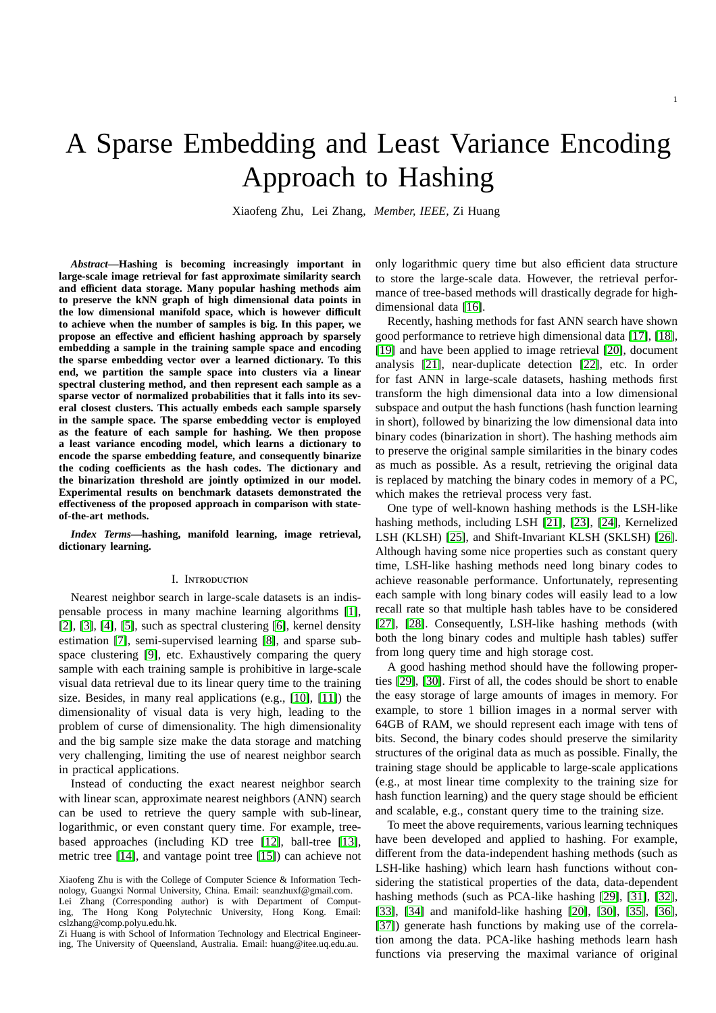# A Sparse Embedding and Least Variance Encoding Approach to Hashing

Xiaofeng Zhu, Lei Zhang, *Member, IEEE,* Zi Huang

*Abstract***—Hashing is becoming increasingly important in large-scale image retrieval for fast approximate similarity search and e**ffi**cient data storage. Many popular hashing methods aim to preserve the kNN graph of high dimensional data points in the low dimensional manifold space, which is however di**ffi**cult to achieve when the number of samples is big. In this paper, we propose an e**ff**ective and e**ffi**cient hashing approach by sparsely embedding a sample in the training sample space and encoding the sparse embedding vector over a learned dictionary. To this end, we partition the sample space into clusters via a linear spectral clustering method, and then represent each sample as a sparse vector of normalized probabilities that it falls into its several closest clusters. This actually embeds each sample sparsely in the sample space. The sparse embedding vector is employed as the feature of each sample for hashing. We then propose a least variance encoding model, which learns a dictionary to encode the sparse embedding feature, and consequently binarize the coding coe**ffi**cients as the hash codes. The dictionary and the binarization threshold are jointly optimized in our model. Experimental results on benchmark datasets demonstrated the e**ff**ectiveness of the proposed approach in comparison with stateof-the-art methods.**

*Index Terms***—hashing, manifold learning, image retrieval, dictionary learning.**

## I. Introduction

Nearest neighbor search in large-scale datasets is an indispensable process in many machine learning algorithms [\[1\]](#page-8-0), [\[2\]](#page-8-1), [\[3\]](#page-8-2), [\[4\]](#page-8-3), [\[5\]](#page-8-4), such as spectral clustering [\[6\]](#page-8-5), kernel density estimation [\[7\]](#page-8-6), semi-supervised learning [\[8\]](#page-8-7), and sparse subspace clustering [\[9\]](#page-8-8), etc. Exhaustively comparing the query sample with each training sample is prohibitive in large-scale visual data retrieval due to its linear query time to the training size. Besides, in many real applications (e.g., [\[10\]](#page-8-9), [\[11\]](#page-8-10)) the dimensionality of visual data is very high, leading to the problem of curse of dimensionality. The high dimensionality and the big sample size make the data storage and matching very challenging, limiting the use of nearest neighbor search in practical applications.

Instead of conducting the exact nearest neighbor search with linear scan, approximate nearest neighbors (ANN) search can be used to retrieve the query sample with sub-linear, logarithmic, or even constant query time. For example, treebased approaches (including KD tree [\[12\]](#page-8-11), ball-tree [\[13\]](#page-8-12), metric tree [\[14\]](#page-8-13), and vantage point tree [\[15\]](#page-8-14)) can achieve not only logarithmic query time but also efficient data structure to store the large-scale data. However, the retrieval performance of tree-based methods will drastically degrade for highdimensional data [\[16\]](#page-8-15).

Recently, hashing methods for fast ANN search have shown good performance to retrieve high dimensional data [\[17\]](#page-8-16), [\[18\]](#page-8-17), [\[19\]](#page-8-18) and have been applied to image retrieval [\[20\]](#page-8-19), document analysis [\[21\]](#page-8-20), near-duplicate detection [\[22\]](#page-8-21), etc. In order for fast ANN in large-scale datasets, hashing methods first transform the high dimensional data into a low dimensional subspace and output the hash functions (hash function learning in short), followed by binarizing the low dimensional data into binary codes (binarization in short). The hashing methods aim to preserve the original sample similarities in the binary codes as much as possible. As a result, retrieving the original data is replaced by matching the binary codes in memory of a PC, which makes the retrieval process very fast.

One type of well-known hashing methods is the LSH-like hashing methods, including LSH [\[21\]](#page-8-20), [\[23\]](#page-8-22), [\[24\]](#page-8-23), Kernelized LSH (KLSH) [\[25\]](#page-8-24), and Shift-Invariant KLSH (SKLSH) [\[26\]](#page-12-0). Although having some nice properties such as constant query time, LSH-like hashing methods need long binary codes to achieve reasonable performance. Unfortunately, representing each sample with long binary codes will easily lead to a low recall rate so that multiple hash tables have to be considered [\[27\]](#page-12-1), [\[28\]](#page-12-2). Consequently, LSH-like hashing methods (with both the long binary codes and multiple hash tables) suffer from long query time and high storage cost.

A good hashing method should have the following properties [\[29\]](#page-12-3), [\[30\]](#page-12-4). First of all, the codes should be short to enable the easy storage of large amounts of images in memory. For example, to store 1 billion images in a normal server with 64GB of RAM, we should represent each image with tens of bits. Second, the binary codes should preserve the similarity structures of the original data as much as possible. Finally, the training stage should be applicable to large-scale applications (e.g., at most linear time complexity to the training size for hash function learning) and the query stage should be efficient and scalable, e.g., constant query time to the training size.

To meet the above requirements, various learning techniques have been developed and applied to hashing. For example, different from the data-independent hashing methods (such as LSH-like hashing) which learn hash functions without considering the statistical properties of the data, data-dependent hashing methods (such as PCA-like hashing [\[29\]](#page-12-3), [\[31\]](#page-12-5), [\[32\]](#page-12-6), [\[33\]](#page-12-7), [\[34\]](#page-12-8) and manifold-like hashing [\[20\]](#page-8-19), [\[30\]](#page-12-4), [\[35\]](#page-12-9), [\[36\]](#page-12-10), [\[37\]](#page-12-11)) generate hash functions by making use of the correlation among the data. PCA-like hashing methods learn hash functions via preserving the maximal variance of original

Xiaofeng Zhu is with the College of Computer Science & Information Technology, Guangxi Normal University, China. Email: seanzhuxf@gmail.com. Lei Zhang (Corresponding author) is with Department of Comput-

ing, The Hong Kong Polytechnic University, Hong Kong. Email: cslzhang@comp.polyu.edu.hk.

Zi Huang is with School of Information Technology and Electrical Engineering, The University of Queensland, Australia. Email: huang@itee.uq.edu.au.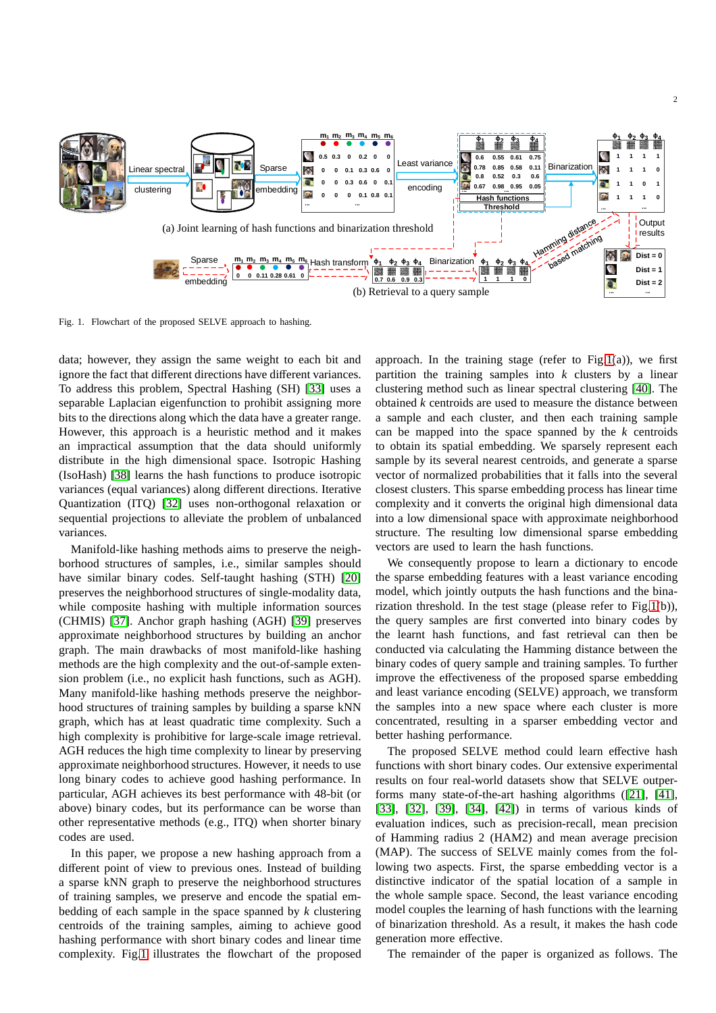

<span id="page-1-0"></span>Fig. 1. Flowchart of the proposed SELVE approach to hashing.

data; however, they assign the same weight to each bit and ignore the fact that different directions have different variances. To address this problem, Spectral Hashing (SH) [\[33\]](#page-12-7) uses a separable Laplacian eigenfunction to prohibit assigning more bits to the directions along which the data have a greater range. However, this approach is a heuristic method and it makes an impractical assumption that the data should uniformly distribute in the high dimensional space. Isotropic Hashing (IsoHash) [\[38\]](#page-12-12) learns the hash functions to produce isotropic variances (equal variances) along different directions. Iterative Quantization (ITQ) [\[32\]](#page-12-6) uses non-orthogonal relaxation or sequential projections to alleviate the problem of unbalanced variances.

Manifold-like hashing methods aims to preserve the neighborhood structures of samples, i.e., similar samples should have similar binary codes. Self-taught hashing (STH) [\[20\]](#page-8-19) preserves the neighborhood structures of single-modality data, while composite hashing with multiple information sources (CHMIS) [\[37\]](#page-12-11). Anchor graph hashing (AGH) [\[39\]](#page-12-13) preserves approximate neighborhood structures by building an anchor graph. The main drawbacks of most manifold-like hashing methods are the high complexity and the out-of-sample extension problem (i.e., no explicit hash functions, such as AGH). Many manifold-like hashing methods preserve the neighborhood structures of training samples by building a sparse kNN graph, which has at least quadratic time complexity. Such a high complexity is prohibitive for large-scale image retrieval. AGH reduces the high time complexity to linear by preserving approximate neighborhood structures. However, it needs to use long binary codes to achieve good hashing performance. In particular, AGH achieves its best performance with 48-bit (or above) binary codes, but its performance can be worse than other representative methods (e.g., ITQ) when shorter binary codes are used.

In this paper, we propose a new hashing approach from a different point of view to previous ones. Instead of building a sparse kNN graph to preserve the neighborhood structures of training samples, we preserve and encode the spatial embedding of each sample in the space spanned by *k* clustering centroids of the training samples, aiming to achieve good hashing performance with short binary codes and linear time complexity. Fig[.1](#page-1-0) illustrates the flowchart of the proposed approach. In the training stage (refer to Fig[.1\(](#page-1-0)a)), we first partition the training samples into *k* clusters by a linear clustering method such as linear spectral clustering [\[40\]](#page-12-14). The obtained *k* centroids are used to measure the distance between a sample and each cluster, and then each training sample can be mapped into the space spanned by the *k* centroids to obtain its spatial embedding. We sparsely represent each sample by its several nearest centroids, and generate a sparse vector of normalized probabilities that it falls into the several closest clusters. This sparse embedding process has linear time complexity and it converts the original high dimensional data into a low dimensional space with approximate neighborhood structure. The resulting low dimensional sparse embedding vectors are used to learn the hash functions.

We consequently propose to learn a dictionary to encode the sparse embedding features with a least variance encoding model, which jointly outputs the hash functions and the binarization threshold. In the test stage (please refer to Fig[.1\(](#page-1-0)b)), the query samples are first converted into binary codes by the learnt hash functions, and fast retrieval can then be conducted via calculating the Hamming distance between the binary codes of query sample and training samples. To further improve the effectiveness of the proposed sparse embedding and least variance encoding (SELVE) approach, we transform the samples into a new space where each cluster is more concentrated, resulting in a sparser embedding vector and better hashing performance.

The proposed SELVE method could learn effective hash functions with short binary codes. Our extensive experimental results on four real-world datasets show that SELVE outperforms many state-of-the-art hashing algorithms ([\[21\]](#page-8-20), [\[41\]](#page-12-15), [\[33\]](#page-12-7), [\[32\]](#page-12-6), [\[39\]](#page-12-13), [\[34\]](#page-12-8), [\[42\]](#page-12-16)) in terms of various kinds of evaluation indices, such as precision-recall, mean precision of Hamming radius 2 (HAM2) and mean average precision (MAP). The success of SELVE mainly comes from the following two aspects. First, the sparse embedding vector is a distinctive indicator of the spatial location of a sample in the whole sample space. Second, the least variance encoding model couples the learning of hash functions with the learning of binarization threshold. As a result, it makes the hash code generation more effective.

The remainder of the paper is organized as follows. The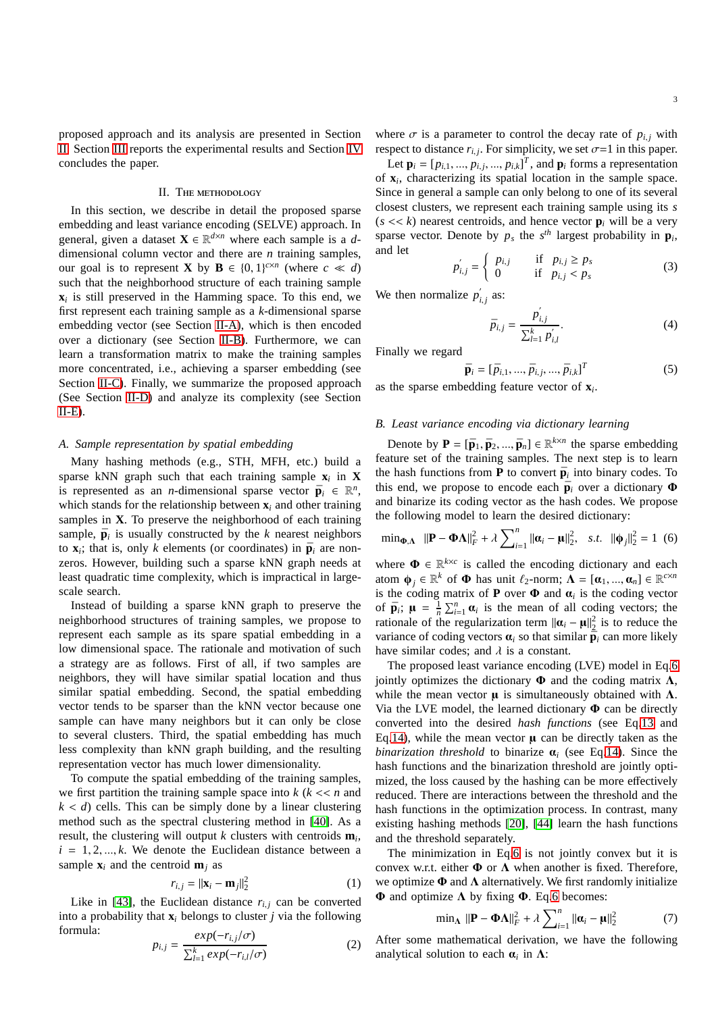proposed approach and its analysis are presented in Section [II.](#page-2-0) Section [III](#page-4-0) reports the experimental results and Section [IV](#page-8-25) concludes the paper.

#### II. The methodology

<span id="page-2-0"></span>In this section, we describe in detail the proposed sparse embedding and least variance encoding (SELVE) approach. In general, given a dataset  $\mathbf{X} \in \mathbb{R}^{d \times n}$  where each sample is a *d*dimensional column vector and there are *n* training samples, our goal is to represent **X** by **B**  $\in \{0, 1\}^{c \times n}$  (where  $c \ll d$ ) such that the neighborhood structure of each training sample  $\mathbf{x}_i$  is still preserved in the Hamming space. To this end, we first represent each training sample as a *k*-dimensional sparse embedding vector (see Section [II-A\)](#page-2-1), which is then encoded over a dictionary (see Section [II-B\)](#page-2-2). Furthermore, we can learn a transformation matrix to make the training samples more concentrated, i.e., achieving a sparser embedding (see Section [II-C\)](#page-3-0). Finally, we summarize the proposed approach (See Section [II-D\)](#page-4-1) and analyze its complexity (see Section  $II-E$ ).

# <span id="page-2-1"></span>*A. Sample representation by spatial embedding*

Many hashing methods (e.g., STH, MFH, etc.) build a sparse kNN graph such that each training sample  $\mathbf{x}_i$  in **X** is represented as an *n*-dimensional sparse vector  $\bar{\mathbf{p}}_i \in \mathbb{R}^n$ , which stands for the relationship between  $\mathbf{x}_i$  and other training samples in **X**. To preserve the neighborhood of each training sample,  $\bar{\mathbf{p}}_i$  is usually constructed by the *k* nearest neighbors to  $\mathbf{x}_i$ ; that is, only *k* elements (or coordinates) in  $\bar{\mathbf{p}}_i$  are nonzeros. However, building such a sparse kNN graph needs at least quadratic time complexity, which is impractical in largescale search.

Instead of building a sparse kNN graph to preserve the neighborhood structures of training samples, we propose to represent each sample as its spare spatial embedding in a low dimensional space. The rationale and motivation of such a strategy are as follows. First of all, if two samples are neighbors, they will have similar spatial location and thus similar spatial embedding. Second, the spatial embedding vector tends to be sparser than the kNN vector because one sample can have many neighbors but it can only be close to several clusters. Third, the spatial embedding has much less complexity than kNN graph building, and the resulting representation vector has much lower dimensionality.

To compute the spatial embedding of the training samples, we first partition the training sample space into *k* (*k* << *n* and  $k < d$ ) cells. This can be simply done by a linear clustering method such as the spectral clustering method in [\[40\]](#page-12-14). As a result, the clustering will output *k* clusters with centroids **m***<sup>i</sup>* ,  $i = 1, 2, \dots, k$ . We denote the Euclidean distance between a sample  $\mathbf{x}_i$  and the centroid  $\mathbf{m}_i$  as

<span id="page-2-5"></span>
$$
r_{i,j} = ||\mathbf{x}_i - \mathbf{m}_j||_2^2 \tag{1}
$$

Like in [\[43\]](#page-12-17), the Euclidean distance  $r_{i,j}$  can be converted into a probability that  $\mathbf{x}_i$  belongs to cluster *j* via the following formula:

$$
p_{i,j} = \frac{exp(-r_{i,j}/\sigma)}{\sum_{l=1}^{k} exp(-r_{i,l}/\sigma)}
$$
(2)

3

where  $\sigma$  is a parameter to control the decay rate of  $p_{i,j}$  with respect to distance  $r_{i,j}$ . For simplicity, we set  $\sigma = 1$  in this paper.

Let  $\mathbf{p}_i = [p_{i,1}, ..., p_{i,j}, ..., p_{i,k}]^T$ , and  $\mathbf{p}_i$  forms a representation of **x***<sup>i</sup>* , characterizing its spatial location in the sample space. Since in general a sample can only belong to one of its several closest clusters, we represent each training sample using its *s*  $(s \ll k)$  nearest centroids, and hence vector  $\mathbf{p}_i$  will be a very sparse vector. Denote by  $p_s$  the  $s^{th}$  largest probability in  $\mathbf{p}_i$ , and let

$$
p'_{i,j} = \begin{cases} p_{i,j} & \text{if } p_{i,j} \ge p_s \\ 0 & \text{if } p_{i,j} < p_s \end{cases} \tag{3}
$$

We then normalize  $p'_{i,j}$  as:

<span id="page-2-7"></span>
$$
\bar{p}_{i,j} = \frac{p'_{i,j}}{\sum_{l=1}^{k} p'_{i,l}}.
$$
\n(4)

Finally we regard

<span id="page-2-6"></span><span id="page-2-3"></span>
$$
\bar{\mathbf{p}}_i = [\bar{p}_{i,1}, ..., \bar{p}_{i,j}, ..., \bar{p}_{i,k}]^T
$$
 (5)

as the sparse embedding feature vector of **x***<sup>i</sup>* .

#### <span id="page-2-2"></span>*B. Least variance encoding via dictionary learning*

Denote by  $P = [\bar{p}_1, \bar{p}_2, ..., \bar{p}_n] \in \mathbb{R}^{k \times n}$  the sparse embedding feature set of the training samples. The next step is to learn the hash functions from **P** to convert  $\bar{p}_i$  into binary codes. To this end, we propose to encode each  $\bar{\mathbf{p}}_i$  over a dictionary  $\Phi$ and binarize its coding vector as the hash codes. We propose the following model to learn the desired dictionary:

$$
\min_{\Phi, \Lambda} \quad \|\mathbf{P} - \Phi \Lambda\|_{F}^{2} + \lambda \sum_{i=1}^{n} \|\alpha_{i} - \mu\|_{2}^{2}, \quad s.t. \quad \|\phi_{j}\|_{2}^{2} = 1 \tag{6}
$$

where  $\mathbf{\Phi} \in \mathbb{R}^{k \times c}$  is called the encoding dictionary and each atom  $\phi_j \in \mathbb{R}^k$  of  $\Phi$  has unit  $\ell_2$ -norm;  $\Lambda = [\alpha_1, ..., \alpha_n] \in \mathbb{R}^{c \times n}$ is the coding matrix of **P** over  $\Phi$  and  $\alpha_i$  is the coding vector of  $\bar{\mathbf{p}}_i$ ;  $\boldsymbol{\mu} = \frac{1}{n} \sum_{i=1}^n \alpha_i$  is the mean of all coding vectors; the rationale of the regularization term  $\|\boldsymbol{\alpha}_i - \boldsymbol{\mu}\|_2^2$  is to reduce the variance of coding vectors  $\alpha_i$  so that similar  $\bar{\mathbf{p}}_i$  can more likely have similar codes; and  $\lambda$  is a constant.

The proposed least variance encoding (LVE) model in Eq[.6](#page-2-3) jointly optimizes the dictionary  $\Phi$  and the coding matrix  $\Lambda$ , while the mean vector  $\mu$  is simultaneously obtained with  $\Lambda$ . Via the LVE model, the learned dictionary  $\Phi$  can be directly converted into the desired *hash functions* (see Eq[.13](#page-3-1) and Eq[.14\)](#page-3-2), while the mean vector  $\mu$  can be directly taken as the *binarization threshold* to binarize  $\alpha_i$  (see Eq[.14\)](#page-3-2). Since the hash functions and the binarization threshold are jointly optimized, the loss caused by the hashing can be more effectively reduced. There are interactions between the threshold and the hash functions in the optimization process. In contrast, many existing hashing methods [\[20\]](#page-8-19), [\[44\]](#page-12-18) learn the hash functions and the threshold separately.

The minimization in Eq[.6](#page-2-3) is not jointly convex but it is convex w.r.t. either  $\Phi$  or  $\Lambda$  when another is fixed. Therefore, we optimize  $\Phi$  and  $\Lambda$  alternatively. We first randomly initialize  $Φ$  and optimize  $Λ$  by fixing  $Φ$ . Eq[.6](#page-2-3) becomes:

<span id="page-2-4"></span>
$$
\min_{\Lambda} \|\mathbf{P} - \mathbf{\Phi}\Lambda\|_{F}^{2} + \lambda \sum_{i=1}^{n} \|\mathbf{\alpha}_{i} - \mathbf{\mu}\|_{2}^{2} \tag{7}
$$

After some mathematical derivation, we have the following analytical solution to each  $\alpha_i$  in  $\Lambda$ :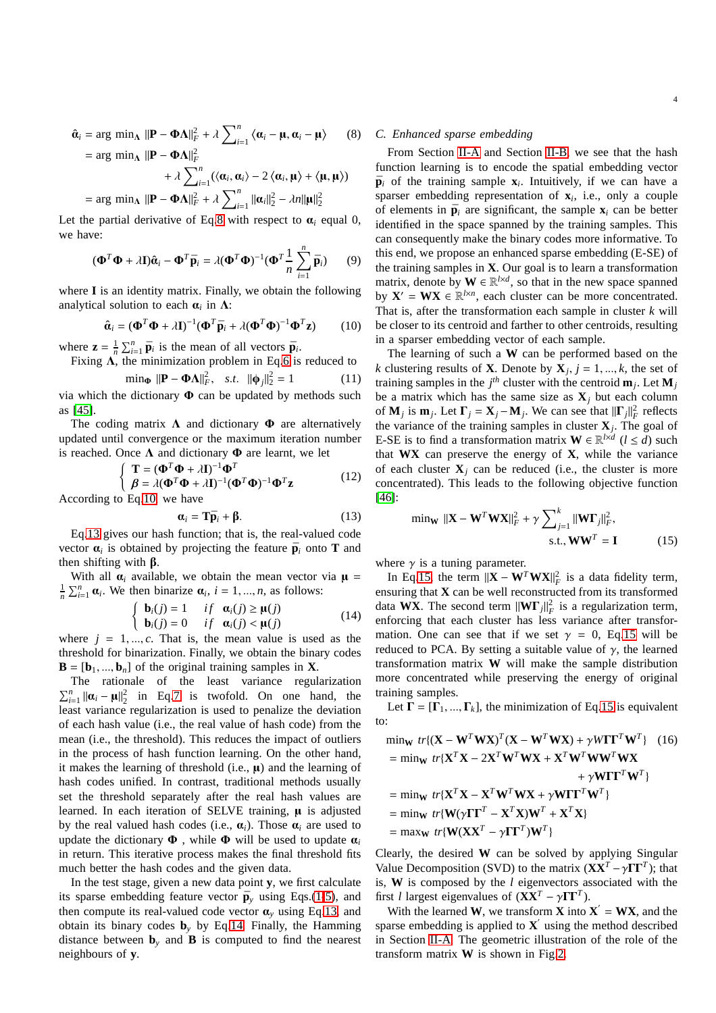$$
\hat{\mathbf{\alpha}}_i = \arg \min_{\mathbf{\Lambda}} \|\mathbf{P} - \mathbf{\Phi} \mathbf{\Lambda}\|_F^2 + \lambda \sum_{i=1}^n \langle \mathbf{\alpha}_i - \mathbf{\mu}, \mathbf{\alpha}_i - \mathbf{\mu} \rangle \qquad (8)
$$
  
\n
$$
= \arg \min_{\mathbf{\Lambda}} \|\mathbf{P} - \mathbf{\Phi} \mathbf{\Lambda}\|_F^2 + \lambda \sum_{i=1}^n (\langle \mathbf{\alpha}_i, \mathbf{\alpha}_i \rangle - 2 \langle \mathbf{\alpha}_i, \mathbf{\mu} \rangle + \langle \mathbf{\mu}, \mathbf{\mu} \rangle)
$$
  
\n
$$
= \arg \min_{\mathbf{\Lambda}} \|\mathbf{P} - \mathbf{\Phi} \mathbf{\Lambda}\|_F^2 + \lambda \sum_{i=1}^n \|\mathbf{\alpha}_i\|_2^2 - \lambda n \|\mathbf{\mu}\|_2^2
$$

Let the partial derivative of Eq[.8](#page-3-3) with respect to  $\alpha_i$  equal 0, we have:

$$
(\mathbf{\Phi}^T \mathbf{\Phi} + \lambda \mathbf{I}) \hat{\mathbf{\alpha}}_i - \mathbf{\Phi}^T \bar{\mathbf{p}}_i = \lambda (\mathbf{\Phi}^T \mathbf{\Phi})^{-1} (\mathbf{\Phi}^T \frac{1}{n} \sum_{i=1}^n \bar{\mathbf{p}}_i)
$$
(9)

where **I** is an identity matrix. Finally, we obtain the following analytical solution to each  $\alpha_i$  in  $\Lambda$ :

<span id="page-3-4"></span>
$$
\hat{\mathbf{\alpha}}_i = (\mathbf{\Phi}^T \mathbf{\Phi} + \lambda \mathbf{I})^{-1} (\mathbf{\Phi}^T \bar{\mathbf{p}}_i + \lambda (\mathbf{\Phi}^T \mathbf{\Phi})^{-1} \mathbf{\Phi}^T \mathbf{z}) \tag{10}
$$

where  $\mathbf{z} = \frac{1}{n} \sum_{i=1}^{n} \bar{\mathbf{p}}_i$  is the mean of all vectors  $\bar{\mathbf{p}}_i$ .

Fixing 
$$
\Lambda
$$
, the minimization problem in Eq.6 is reduced to

$$
\min_{\Phi} \|\mathbf{P} - \mathbf{\Phi} \mathbf{\Lambda}\|_F^2, \quad s.t. \quad \|\phi_j\|_2^2 = 1 \tag{11}
$$
  
via which the dictionary  $\Phi$  can be updated by methods such

as [\[45\]](#page-12-19).

The coding matrix  $\Lambda$  and dictionary  $\Phi$  are alternatively updated until convergence or the maximum iteration number is reached. Once  $\Lambda$  and dictionary  $\Phi$  are learnt, we let

$$
\begin{cases} \mathbf{T} = (\mathbf{\Phi}^T \mathbf{\Phi} + \lambda \mathbf{I})^{-1} \mathbf{\Phi}^T \\ \beta = \lambda (\mathbf{\Phi}^T \mathbf{\Phi} + \lambda \mathbf{I})^{-1} (\mathbf{\Phi}^T \mathbf{\Phi})^{-1} \mathbf{\Phi}^T \mathbf{z} \end{cases}
$$
(12)

According to Eq[.10,](#page-3-4) we have

<span id="page-3-1"></span>
$$
\boldsymbol{\alpha}_i = \mathbf{T} \bar{\mathbf{p}}_i + \boldsymbol{\beta}.
$$
 (13)

Eq[.13](#page-3-1) gives our hash function; that is, the real-valued code vector  $\boldsymbol{\alpha}_i$  is obtained by projecting the feature  $\bar{\boldsymbol{p}}_i$  onto **T** and then shifting with  $\beta$ .

With all  $\alpha_i$  available, we obtain the mean vector via  $\mu$  =  $\frac{1}{n} \sum_{i=1}^{n} \alpha_i$ . We then binarize  $\alpha_i$ ,  $i = 1, ..., n$ , as follows:

$$
\begin{cases}\n\mathbf{b}_i(j) = 1 & if \quad \alpha_i(j) \ge \mu(j) \\
\mathbf{b}_i(j) = 0 & if \quad \alpha_i(j) < \mu(j)\n\end{cases} \tag{14}
$$

where  $j = 1, \ldots, c$ . That is, the mean value is used as the threshold for binarization. Finally, we obtain the binary codes  $\mathbf{B} = [\mathbf{b}_1, ..., \mathbf{b}_n]$  of the original training samples in **X**.

The rationale of the least variance regularization  $\sum_{i=1}^{n} ||\boldsymbol{\alpha}_i - \boldsymbol{\mu}||_2^2$  in Eq[.7](#page-2-4) is twofold. On one hand, the least variance regularization is used to penalize the deviation of each hash value (i.e., the real value of hash code) from the mean (i.e., the threshold). This reduces the impact of outliers in the process of hash function learning. On the other hand, it makes the learning of threshold (i.e.,  $\mu$ ) and the learning of hash codes unified. In contrast, traditional methods usually set the threshold separately after the real hash values are learned. In each iteration of SELVE training,  $\mu$  is adjusted by the real valued hash codes (i.e.,  $\alpha_i$ ). Those  $\alpha_i$  are used to update the dictionary  $\Phi$ , while  $\Phi$  will be used to update  $\alpha_i$ in return. This iterative process makes the final threshold fits much better the hash codes and the given data.

In the test stage, given a new data point **y**, we first calculate its sparse embedding feature vector  $\bar{\mathbf{p}}_y$  using Eqs.[\(1](#page-2-5)[-5\)](#page-2-6), and then compute its real-valued code vector  $\alpha$ <sub>*y*</sub> using Eq[.13,](#page-3-1) and obtain its binary codes  $\mathbf{b}_y$  by Eq[.14.](#page-3-2) Finally, the Hamming distance between  $\mathbf{b}_y$  and **B** is computed to find the nearest neighbours of **y**.

## <span id="page-3-3"></span><span id="page-3-0"></span>*C. Enhanced sparse embedding*

From Section [II-A](#page-2-1) and Section [II-B,](#page-2-2) we see that the hash function learning is to encode the spatial embedding vector  $\bar{\mathbf{p}}_i$  of the training sample  $\mathbf{x}_i$ . Intuitively, if we can have a sparser embedding representation of **x***<sup>i</sup>* , i.e., only a couple of elements in  $\bar{\mathbf{p}}_i$  are significant, the sample  $\mathbf{x}_i$  can be better identified in the space spanned by the training samples. This can consequently make the binary codes more informative. To this end, we propose an enhanced sparse embedding (E-SE) of the training samples in **X**. Our goal is to learn a transformation matrix, denote by  $\mathbf{W} \in \mathbb{R}^{l \times d}$ , so that in the new space spanned by  $X' = WX \in \mathbb{R}^{l \times n}$ , each cluster can be more concentrated. That is, after the transformation each sample in cluster *k* will be closer to its centroid and farther to other centroids, resulting in a sparser embedding vector of each sample.

<span id="page-3-7"></span>The learning of such a **W** can be performed based on the *k* clustering results of **X**. Denote by  $X_j$ ,  $j = 1, ..., k$ , the set of training samples in the  $j<sup>th</sup>$  cluster with the centroid  $\mathbf{m}_j$ . Let  $\mathbf{M}_j$ be a matrix which has the same size as  $X_i$  but each column of **M**<sub>*j*</sub> is **m**<sub>*j*</sub>. Let  $\Gamma_j = \mathbf{X}_j - \mathbf{M}_j$ . We can see that  $\|\Gamma_j\|_F^2$  reflects the variance of the training samples in cluster **X***<sup>j</sup>* . The goal of E-SE is to find a transformation matrix  $\mathbf{W} \in \mathbb{R}^{l \times d}$  ( $l \le d$ ) such that **WX** can preserve the energy of **X**, while the variance of each cluster  $\mathbf{X}_i$  can be reduced (i.e., the cluster is more concentrated). This leads to the following objective function [\[46\]](#page-12-20):

<span id="page-3-8"></span><span id="page-3-5"></span>
$$
\begin{aligned}\n\text{min}_{\mathbf{W}} \|\mathbf{X} - \mathbf{W}^T \mathbf{W} \mathbf{X}\|_F^2 + \gamma \sum_{j=1}^k \|\mathbf{W} \mathbf{\Gamma}_j\|_F^2, \\
\text{s.t., } \mathbf{W} \mathbf{W}^T = \mathbf{I}\n\end{aligned} \n\tag{15}
$$

where  $\gamma$  is a tuning parameter.

<span id="page-3-2"></span>In Eq[.15,](#page-3-5) the term  $||\mathbf{X} - \mathbf{W}^T \mathbf{W} \mathbf{X}||_F^2$  is a data fidelity term, ensuring that **X** can be well reconstructed from its transformed data **WX**. The second term  $||\mathbf{W}\mathbf{\Gamma}_j||_F^2$  is a regularization term, enforcing that each cluster has less variance after transformation. One can see that if we set  $\gamma = 0$ , Eq[.15](#page-3-5) will be reduced to PCA. By setting a suitable value of  $\gamma$ , the learned transformation matrix **W** will make the sample distribution more concentrated while preserving the energy of original training samples.

Let  $\Gamma = [\Gamma_1, ..., \Gamma_k]$ , the minimization of Eq[.15](#page-3-5) is equivalent to:

<span id="page-3-6"></span>
$$
\begin{aligned}\n\min_{\mathbf{W}} tr \{ (\mathbf{X} - \mathbf{W}^T \mathbf{W} \mathbf{X})^T (\mathbf{X} - \mathbf{W}^T \mathbf{W} \mathbf{X}) + \gamma W \mathbf{\Gamma} \mathbf{\Gamma}^T \mathbf{W}^T \} \quad (16) \\
&= \min_{\mathbf{W}} tr \{ \mathbf{X}^T \mathbf{X} - 2 \mathbf{X}^T \mathbf{W}^T \mathbf{W} \mathbf{X} + \mathbf{X}^T \mathbf{W}^T \mathbf{W} \mathbf{W}^T \mathbf{W} \mathbf{X} + \gamma \mathbf{W} \mathbf{\Gamma} \mathbf{\Gamma}^T \mathbf{W}^T \} \\
&= \min_{\mathbf{W}} tr \{ \mathbf{X}^T \mathbf{X} - \mathbf{X}^T \mathbf{W}^T \mathbf{W} \mathbf{X} + \gamma \mathbf{W} \mathbf{\Gamma} \mathbf{\Gamma}^T \mathbf{W}^T \} \\
&= \min_{\mathbf{W}} tr \{ \mathbf{W} (\gamma \mathbf{\Gamma} \mathbf{\Gamma}^T - \mathbf{X}^T \mathbf{X}) \mathbf{W}^T + \mathbf{X}^T \mathbf{X} \} \\
&= \max_{\mathbf{W}} tr \{ \mathbf{W} (\mathbf{X} \mathbf{X}^T - \gamma \mathbf{\Gamma} \mathbf{\Gamma}^T) \mathbf{W}^T \}\n\end{aligned}
$$

Clearly, the desired **W** can be solved by applying Singular Value Decomposition (SVD) to the matrix  $(\mathbf{XX}^T - \gamma \mathbf{\Gamma} \mathbf{\Gamma}^T)$ ; that is, **W** is composed by the *l* eigenvectors associated with the first *l* largest eigenvalues of  $(\mathbf{X}\mathbf{X}^T - \gamma \mathbf{\Gamma}\mathbf{\Gamma}^T)$ .

With the learned **W**, we transform **X** into  $X' = WX$ , and the sparse embedding is applied to  $X'$  using the method described in Section [II-A.](#page-2-1) The geometric illustration of the role of the transform matrix **W** is shown in Fig[.2.](#page-4-3)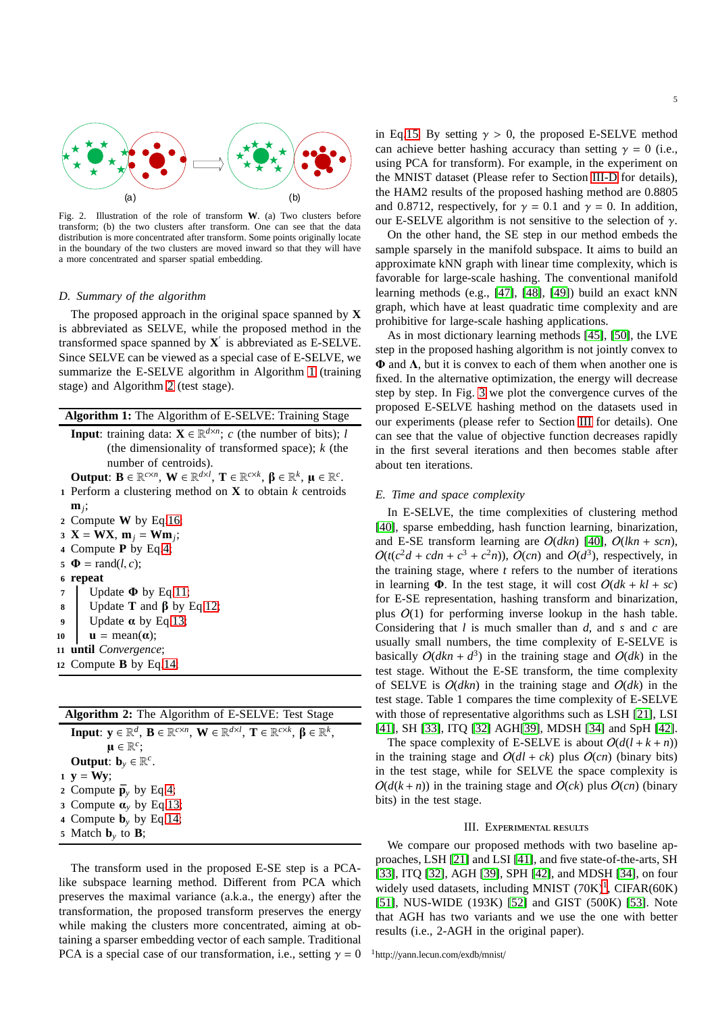

<span id="page-4-3"></span>Fig. 2. Illustration of the role of transform **W**. (a) Two clusters before transform; (b) the two clusters after transform. One can see that the data distribution is more concentrated after transform. Some points originally locate in the boundary of the two clusters are moved inward so that they will have a more concentrated and sparser spatial embedding.

#### <span id="page-4-1"></span>*D. Summary of the algorithm*

<span id="page-4-4"></span>**<sup>12</sup>** Compute **B** by Eq[.14;](#page-3-2)

The proposed approach in the original space spanned by **X** is abbreviated as SELVE, while the proposed method in the transformed space spanned by  $X'$  is abbreviated as E-SELVE. Since SELVE can be viewed as a special case of E-SELVE, we summarize the E-SELVE algorithm in Algorithm [1](#page-4-4) (training stage) and Algorithm [2](#page-4-5) (test stage).

| <b>Algorithm 1:</b> The Algorithm of E-SELVE: Training Stage                                                                                                                                                                      |  |  |  |  |  |  |
|-----------------------------------------------------------------------------------------------------------------------------------------------------------------------------------------------------------------------------------|--|--|--|--|--|--|
| <b>Input:</b> training data: $\mathbf{X} \in \mathbb{R}^{d \times n}$ ; c (the number of bits); l                                                                                                                                 |  |  |  |  |  |  |
| (the dimensionality of transformed space); $k$ (the                                                                                                                                                                               |  |  |  |  |  |  |
| number of centroids).                                                                                                                                                                                                             |  |  |  |  |  |  |
| <b>Output:</b> $\mathbf{B} \in \mathbb{R}^{c \times n}$ , $\mathbf{W} \in \mathbb{R}^{d \times l}$ , $\mathbf{T} \in \mathbb{R}^{c \times k}$ , $\boldsymbol{\beta} \in \mathbb{R}^{k}$ , $\boldsymbol{\mu} \in \mathbb{R}^{c}$ . |  |  |  |  |  |  |
| 1 Perform a clustering method on $X$ to obtain $k$ centroids                                                                                                                                                                      |  |  |  |  |  |  |
| $\mathbf{m}_i$ ;                                                                                                                                                                                                                  |  |  |  |  |  |  |
| 2 Compute W by Eq.16;                                                                                                                                                                                                             |  |  |  |  |  |  |
| $3 \mathbf{X} = \mathbf{W} \mathbf{X}, \mathbf{m}_i = \mathbf{W} \mathbf{m}_i;$                                                                                                                                                   |  |  |  |  |  |  |
| 4 Compute $P$ by Eq.4;                                                                                                                                                                                                            |  |  |  |  |  |  |
| $\mathbf{s} \ \mathbf{\Phi} = \text{rand}(l, c);$                                                                                                                                                                                 |  |  |  |  |  |  |
| repeat<br>6                                                                                                                                                                                                                       |  |  |  |  |  |  |
| Update $\Phi$ by Eq.11;<br>7                                                                                                                                                                                                      |  |  |  |  |  |  |
| Update T and $\beta$ by Eq.12;<br>8                                                                                                                                                                                               |  |  |  |  |  |  |
| Update $\alpha$ by Eq.13;<br>$\boldsymbol{9}$                                                                                                                                                                                     |  |  |  |  |  |  |
| $\mathbf{u} = \text{mean}(\alpha);$<br>10                                                                                                                                                                                         |  |  |  |  |  |  |
| 11 <b>until</b> <i>Convergence</i> ;                                                                                                                                                                                              |  |  |  |  |  |  |

| <b>Algorithm 2:</b> The Algorithm of E-SELVE: Test Stage                                                                                                              |  |  |  |  |  |  |
|-----------------------------------------------------------------------------------------------------------------------------------------------------------------------|--|--|--|--|--|--|
| <b>Input:</b> $y \in \mathbb{R}^d$ , $B \in \mathbb{R}^{c \times n}$ , $W \in \mathbb{R}^{d \times l}$ , $T \in \mathbb{R}^{c \times k}$ , $\beta \in \mathbb{R}^k$ , |  |  |  |  |  |  |
| $\mathbf{u} \in \mathbb{R}^c$                                                                                                                                         |  |  |  |  |  |  |
| <b>Output:</b> $\mathbf{b}_v \in \mathbb{R}^c$ .                                                                                                                      |  |  |  |  |  |  |
| $y = Wy;$                                                                                                                                                             |  |  |  |  |  |  |
| 2 Compute $\bar{p}_y$ by Eq.4;                                                                                                                                        |  |  |  |  |  |  |
| 3 Compute $\alpha$ <sub>v</sub> by Eq.13;                                                                                                                             |  |  |  |  |  |  |
| 4 Compute $\mathbf{b}_v$ by Eq.14;                                                                                                                                    |  |  |  |  |  |  |
| 5 Match $\mathbf{b}_v$ to <b>B</b> ;                                                                                                                                  |  |  |  |  |  |  |

<span id="page-4-5"></span>The transform used in the proposed E-SE step is a PCAlike subspace learning method. Different from PCA which preserves the maximal variance (a.k.a., the energy) after the transformation, the proposed transform preserves the energy while making the clusters more concentrated, aiming at obtaining a sparser embedding vector of each sample. Traditional PCA is a special case of our transformation, i.e., setting  $\gamma = 0$  in Eq[.15.](#page-3-5) By setting  $\gamma > 0$ , the proposed E-SELVE method can achieve better hashing accuracy than setting  $\gamma = 0$  (i.e., using PCA for transform). For example, in the experiment on the MNIST dataset (Please refer to Section [III-D](#page-6-0) for details), the HAM2 results of the proposed hashing method are 0.8805 and 0.8712, respectively, for  $\gamma = 0.1$  and  $\gamma = 0$ . In addition,

our E-SELVE algorithm is not sensitive to the selection of  $\gamma$ . On the other hand, the SE step in our method embeds the sample sparsely in the manifold subspace. It aims to build an approximate kNN graph with linear time complexity, which is favorable for large-scale hashing. The conventional manifold learning methods (e.g., [\[47\]](#page-12-21), [\[48\]](#page-12-22), [\[49\]](#page-12-23)) build an exact kNN graph, which have at least quadratic time complexity and are prohibitive for large-scale hashing applications.

As in most dictionary learning methods [\[45\]](#page-12-19), [\[50\]](#page-12-24), the LVE step in the proposed hashing algorithm is not jointly convex to  $\Phi$  and  $\Lambda$ , but it is convex to each of them when another one is fixed. In the alternative optimization, the energy will decrease step by step. In Fig. [3](#page-5-0) we plot the convergence curves of the proposed E-SELVE hashing method on the datasets used in our experiments (please refer to Section [III](#page-4-0) for details). One can see that the value of objective function decreases rapidly in the first several iterations and then becomes stable after about ten iterations.

### <span id="page-4-2"></span>*E. Time and space complexity*

In E-SELVE, the time complexities of clustering method [\[40\]](#page-12-14), sparse embedding, hash function learning, binarization, and E-SE transform learning are  $O(dkn)$  [\[40\]](#page-12-14),  $O(lkn + scn)$ ,  $O(t(c^2d + cdn + c^3 + c^2n))$ ,  $O(cn)$  and  $O(d^3)$ , respectively, in the training stage, where *t* refers to the number of iterations in learning  $\Phi$ . In the test stage, it will cost  $O(dk + kl + sc)$ for E-SE representation, hashing transform and binarization, plus  $O(1)$  for performing inverse lookup in the hash table. Considering that *l* is much smaller than *d*, and *s* and *c* are usually small numbers, the time complexity of E-SELVE is basically  $O(dkn + d^3)$  in the training stage and  $O(dk)$  in the test stage. Without the E-SE transform, the time complexity of SELVE is O(*dkn*) in the training stage and O(*dk*) in the test stage. Table 1 compares the time complexity of E-SELVE with those of representative algorithms such as LSH [\[21\]](#page-8-20), LSI [\[41\]](#page-12-15), SH [\[33\]](#page-12-7), ITQ [\[32\]](#page-12-6) AGH[\[39\]](#page-12-13), MDSH [\[34\]](#page-12-8) and SpH [\[42\]](#page-12-16).

The space complexity of E-SELVE is about  $O(d(l + k + n))$ in the training stage and  $O(dI + ck)$  plus  $O(cn)$  (binary bits) in the test stage, while for SELVE the space complexity is  $O(d(k+n))$  in the training stage and  $O(ck)$  plus  $O(cn)$  (binary bits) in the test stage.

## III. Experimental results

<span id="page-4-0"></span>We compare our proposed methods with two baseline approaches, LSH [\[21\]](#page-8-20) and LSI [\[41\]](#page-12-15), and five state-of-the-arts, SH [\[33\]](#page-12-7), ITQ [\[32\]](#page-12-6), AGH [\[39\]](#page-12-13), SPH [\[42\]](#page-12-16), and MDSH [\[34\]](#page-12-8), on four widely used datasets, including MNIST  $(70K)^1$ , CIFAR(60K) [\[51\]](#page-12-25), NUS-WIDE (193K) [\[52\]](#page-12-26) and GIST (500K) [\[53\]](#page-12-27). Note that AGH has two variants and we use the one with better results (i.e., 2-AGH in the original paper).

```
1http://yann.lecun.com/exdb/mnist/
```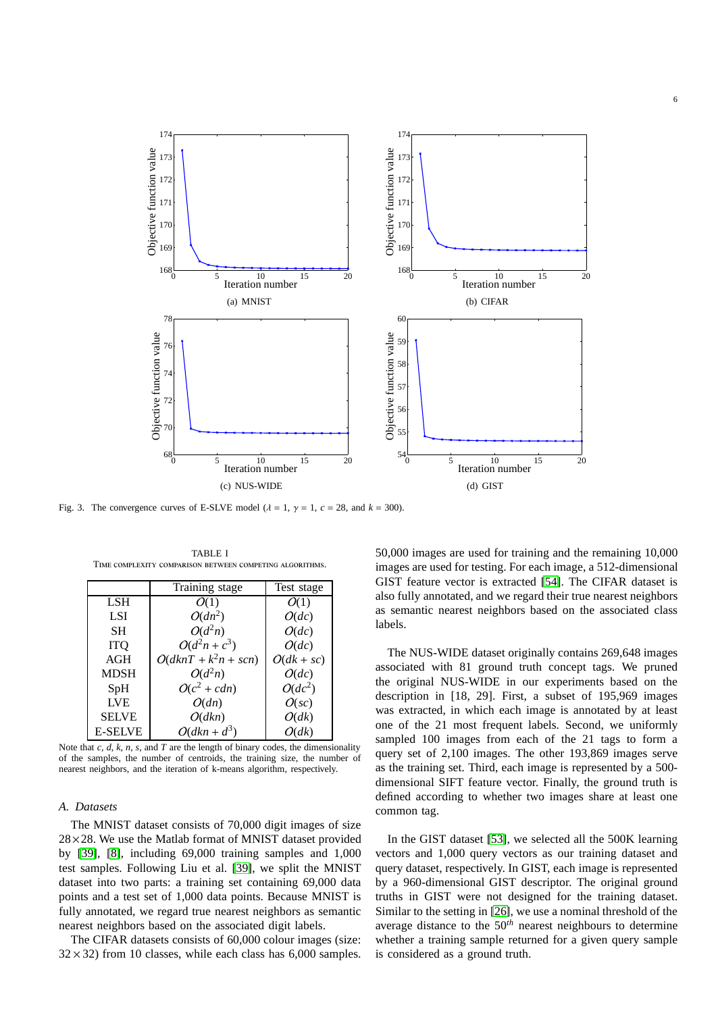

<span id="page-5-0"></span>Fig. 3. The convergence curves of E-SLVE model ( $\lambda = 1$ ,  $\gamma = 1$ ,  $c = 28$ , and  $k = 300$ ).

<span id="page-5-1"></span>

|                | Training stage         | Test stage   |
|----------------|------------------------|--------------|
| LSH            | O(1)                   | O(1)         |
| <b>LSI</b>     | $O(dn^2)$              | O(dc)        |
| <b>SH</b>      | $O(d^2n)$              | O(dc)        |
| <b>ITQ</b>     | $O(d^2n + c^3)$        | O(dc)        |
| AGH            | $O(dknT + k^2n + scn)$ | $O(dk + sc)$ |
| <b>MDSH</b>    | $O(d^2n)$              | O(dc)        |
| SpH            | $O(c^2 + cdn)$         | $O(dc^2)$    |
| <b>LVE</b>     | O(dn)                  | O(sc)        |
| <b>SELVE</b>   | O(dkn)                 | O(dk)        |
| <b>E-SELVE</b> | $O(dkn + d^3)$         | O(dk)        |

TABLE I Time complexity comparison between competing algorithms.

Note that  $c, d, k, n, s$ , and  $T$  are the length of binary codes, the dimensionality of the samples, the number of centroids, the training size, the number of nearest neighbors, and the iteration of k-means algorithm, respectively.

### *A. Datasets*

The MNIST dataset consists of 70,000 digit images of size  $28\times28$ . We use the Matlab format of MNIST dataset provided by [\[39\]](#page-12-13), [\[8\]](#page-8-7), including 69,000 training samples and 1,000 test samples. Following Liu et al. [\[39\]](#page-12-13), we split the MNIST dataset into two parts: a training set containing 69,000 data points and a test set of 1,000 data points. Because MNIST is fully annotated, we regard true nearest neighbors as semantic nearest neighbors based on the associated digit labels.

The CIFAR datasets consists of 60,000 colour images (size:  $32 \times 32$ ) from 10 classes, while each class has 6,000 samples. 50,000 images are used for training and the remaining 10,000 images are used for testing. For each image, a 512-dimensional GIST feature vector is extracted [\[54\]](#page-12-28). The CIFAR dataset is also fully annotated, and we regard their true nearest neighbors as semantic nearest neighbors based on the associated class labels.

The NUS-WIDE dataset originally contains 269,648 images associated with 81 ground truth concept tags. We pruned the original NUS-WIDE in our experiments based on the description in [18, 29]. First, a subset of 195,969 images was extracted, in which each image is annotated by at least one of the 21 most frequent labels. Second, we uniformly sampled 100 images from each of the 21 tags to form a query set of 2,100 images. The other 193,869 images serve as the training set. Third, each image is represented by a 500 dimensional SIFT feature vector. Finally, the ground truth is defined according to whether two images share at least one common tag.

In the GIST dataset [\[53\]](#page-12-27), we selected all the 500K learning vectors and 1,000 query vectors as our training dataset and query dataset, respectively. In GIST, each image is represented by a 960-dimensional GIST descriptor. The original ground truths in GIST were not designed for the training dataset. Similar to the setting in [\[26\]](#page-12-0), we use a nominal threshold of the average distance to the 50*th* nearest neighbours to determine whether a training sample returned for a given query sample is considered as a ground truth.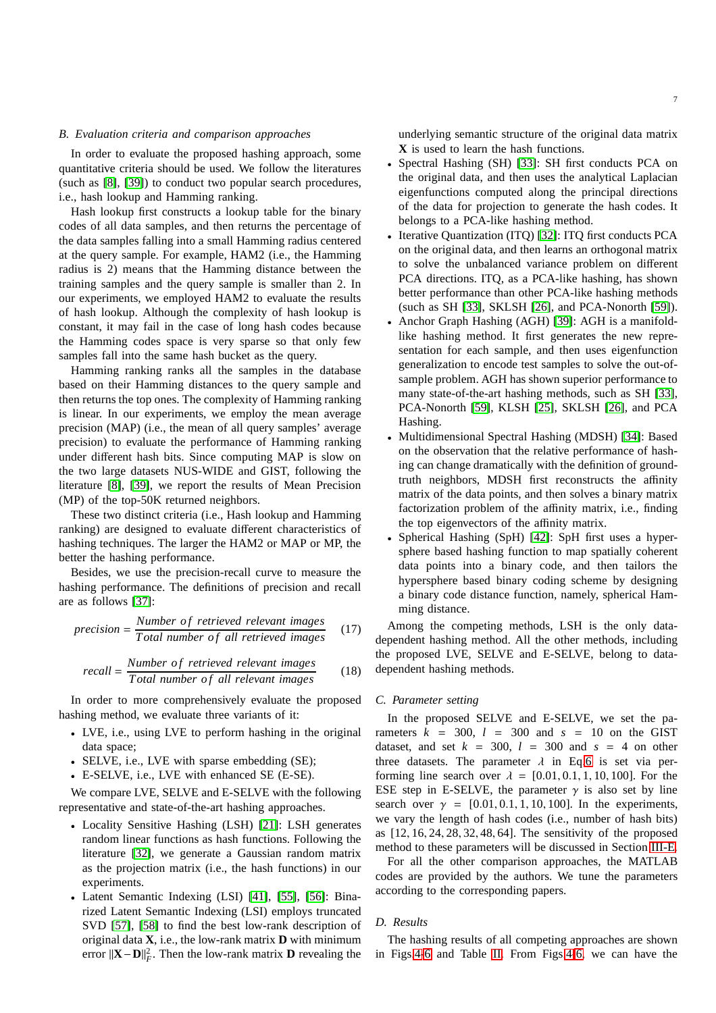#### *B. Evaluation criteria and comparison approaches*

In order to evaluate the proposed hashing approach, some quantitative criteria should be used. We follow the literatures (such as [\[8\]](#page-8-7), [\[39\]](#page-12-13)) to conduct two popular search procedures, i.e., hash lookup and Hamming ranking.

Hash lookup first constructs a lookup table for the binary codes of all data samples, and then returns the percentage of the data samples falling into a small Hamming radius centered at the query sample. For example, HAM2 (i.e., the Hamming radius is 2) means that the Hamming distance between the training samples and the query sample is smaller than 2. In our experiments, we employed HAM2 to evaluate the results of hash lookup. Although the complexity of hash lookup is constant, it may fail in the case of long hash codes because the Hamming codes space is very sparse so that only few samples fall into the same hash bucket as the query.

Hamming ranking ranks all the samples in the database based on their Hamming distances to the query sample and then returns the top ones. The complexity of Hamming ranking is linear. In our experiments, we employ the mean average precision (MAP) (i.e., the mean of all query samples' average precision) to evaluate the performance of Hamming ranking under different hash bits. Since computing MAP is slow on the two large datasets NUS-WIDE and GIST, following the literature [\[8\]](#page-8-7), [\[39\]](#page-12-13), we report the results of Mean Precision (MP) of the top-50K returned neighbors.

These two distinct criteria (i.e., Hash lookup and Hamming ranking) are designed to evaluate different characteristics of hashing techniques. The larger the HAM2 or MAP or MP, the better the hashing performance.

Besides, we use the precision-recall curve to measure the hashing performance. The definitions of precision and recall are as follows [\[37\]](#page-12-11):

$$
precision = \frac{Number\ of\ retrieved\ relevant\ images}{Total\ number\ of\ all\ retrieved\ images} \tag{17}
$$

$$
recall = \frac{Number\ of\ retrieved\ relevant\ images}{Total\ number\ of\ all\ relevant\ images} \tag{18}
$$

In order to more comprehensively evaluate the proposed hashing method, we evaluate three variants of it:

- LVE, i.e., using LVE to perform hashing in the original data space;
- SELVE, i.e., LVE with sparse embedding (SE);
- E-SELVE, i.e., LVE with enhanced SE (E-SE).

We compare LVE, SELVE and E-SELVE with the following representative and state-of-the-art hashing approaches.

- Locality Sensitive Hashing (LSH) [\[21\]](#page-8-20): LSH generates random linear functions as hash functions. Following the literature [\[32\]](#page-12-6), we generate a Gaussian random matrix as the projection matrix (i.e., the hash functions) in our experiments.
- Latent Semantic Indexing (LSI) [\[41\]](#page-12-15), [\[55\]](#page-12-29), [\[56\]](#page-12-30): Binarized Latent Semantic Indexing (LSI) employs truncated SVD [\[57\]](#page-13-0), [\[58\]](#page-13-1) to find the best low-rank description of original data **X**, i.e., the low-rank matrix **D** with minimum error  $||\mathbf{X}-\mathbf{D}||_F^2$ . Then the low-rank matrix **D** revealing the

underlying semantic structure of the original data matrix **X** is used to learn the hash functions.

- Spectral Hashing (SH) [\[33\]](#page-12-7): SH first conducts PCA on the original data, and then uses the analytical Laplacian eigenfunctions computed along the principal directions of the data for projection to generate the hash codes. It belongs to a PCA-like hashing method.
- Iterative Quantization (ITQ) [\[32\]](#page-12-6): ITQ first conducts PCA on the original data, and then learns an orthogonal matrix to solve the unbalanced variance problem on different PCA directions. ITQ, as a PCA-like hashing, has shown better performance than other PCA-like hashing methods (such as SH [\[33\]](#page-12-7), SKLSH [\[26\]](#page-12-0), and PCA-Nonorth [\[59\]](#page-13-2)).
- Anchor Graph Hashing (AGH) [\[39\]](#page-12-13): AGH is a manifoldlike hashing method. It first generates the new representation for each sample, and then uses eigenfunction generalization to encode test samples to solve the out-ofsample problem. AGH has shown superior performance to many state-of-the-art hashing methods, such as SH [\[33\]](#page-12-7), PCA-Nonorth [\[59\]](#page-13-2), KLSH [\[25\]](#page-8-24), SKLSH [\[26\]](#page-12-0), and PCA Hashing.
- Multidimensional Spectral Hashing (MDSH) [\[34\]](#page-12-8): Based on the observation that the relative performance of hashing can change dramatically with the definition of groundtruth neighbors, MDSH first reconstructs the affinity matrix of the data points, and then solves a binary matrix factorization problem of the affinity matrix, i.e., finding the top eigenvectors of the affinity matrix.
- Spherical Hashing (SpH) [\[42\]](#page-12-16): SpH first uses a hypersphere based hashing function to map spatially coherent data points into a binary code, and then tailors the hypersphere based binary coding scheme by designing a binary code distance function, namely, spherical Hamming distance.

Among the competing methods, LSH is the only datadependent hashing method. All the other methods, including the proposed LVE, SELVE and E-SELVE, belong to datadependent hashing methods.

### *C. Parameter setting*

In the proposed SELVE and E-SELVE, we set the parameters  $k = 300$ ,  $l = 300$  and  $s = 10$  on the GIST dataset, and set  $k = 300$ ,  $l = 300$  and  $s = 4$  on other three datasets. The parameter  $\lambda$  in Eq[.6](#page-2-3) is set via performing line search over  $\lambda = [0.01, 0.1, 1, 10, 100]$ . For the ESE step in E-SELVE, the parameter  $\gamma$  is also set by line search over  $\gamma = [0.01, 0.1, 1, 10, 100]$ . In the experiments, we vary the length of hash codes (i.e., number of hash bits) as [12, 16, 24, 28, 32, 48, 64]. The sensitivity of the proposed method to these parameters will be discussed in Section [III-E.](#page-7-0)

For all the other comparison approaches, the MATLAB codes are provided by the authors. We tune the parameters according to the corresponding papers.

#### <span id="page-6-0"></span>*D. Results*

The hashing results of all competing approaches are shown in Figs[.4-](#page-9-0)[6](#page-10-0) and Table [II.](#page-7-1) From Figs[.4](#page-9-0)[-6,](#page-10-0) we can have the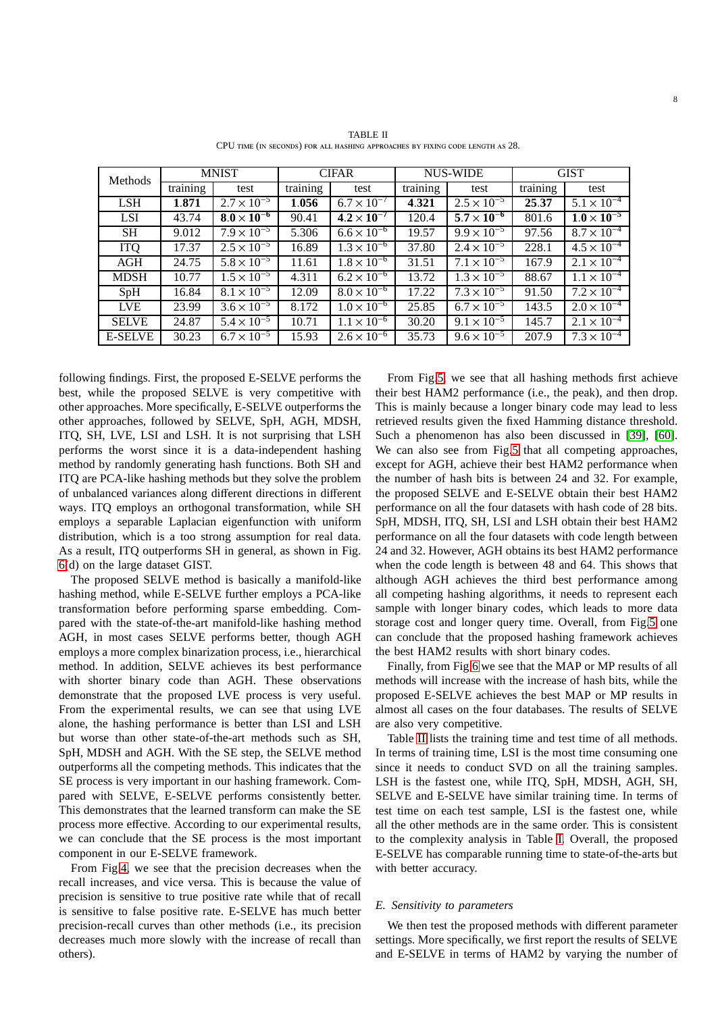<span id="page-7-1"></span>

| Methods        | <b>MNIST</b> |                      | <b>CIFAR</b> |                                 | <b>NUS-WIDE</b> |                      | <b>GIST</b> |                      |
|----------------|--------------|----------------------|--------------|---------------------------------|-----------------|----------------------|-------------|----------------------|
|                | training     | test                 | training     | test                            | training        | test                 | training    | test                 |
| <b>LSH</b>     | 1.871        | $2.7 \times 10^{-5}$ | 1.056        | $6.7 \times 10^{-7}$            | 4.321           | $2.5 \times 10^{-5}$ | 25.37       | $5.1 \times 10^{-4}$ |
| <b>LSI</b>     | 43.74        | $8.0 \times 10^{-6}$ | 90.41        | $4.2 \times 10^{-7}$            | 120.4           | $5.7 \times 10^{-6}$ | 801.6       | $1.0 \times 10^{-5}$ |
| <b>SH</b>      | 9.012        | $7.9 \times 10^{-5}$ | 5.306        | $6.6 \times 10^{-6}$            | 19.57           | $9.9 \times 10^{-5}$ | 97.56       | $8.7 \times 10^{-4}$ |
| <b>ITQ</b>     | 17.37        | $2.5 \times 10^{-5}$ | 16.89        | $1.3 \times \overline{10^{-6}}$ | 37.80           | $2.4 \times 10^{-5}$ | 228.1       | $4.5 \times 10^{-4}$ |
| AGH            | 24.75        | $5.8 \times 10^{-5}$ | 11.61        | $1.8 \times 10^{-6}$            | 31.51           | $7.1 \times 10^{-5}$ | 167.9       | $2.1 \times 10^{-4}$ |
| <b>MDSH</b>    | 10.77        | $1.5 \times 10^{-5}$ | 4.311        | $6.2 \times 10^{-6}$            | 13.72           | $1.3 \times 10^{-5}$ | 88.67       | $1.1 \times 10^{-4}$ |
| SpH            | 16.84        | $8.1 \times 10^{-5}$ | 12.09        | $8.0 \times 10^{-6}$            | 17.22           | $7.3 \times 10^{-5}$ | 91.50       | $7.2 \times 10^{-4}$ |
| <b>LVE</b>     | 23.99        | $3.6 \times 10^{-5}$ | 8.172        | $1.0 \times 10^{-6}$            | 25.85           | $6.7 \times 10^{-5}$ | 143.5       | $2.0 \times 10^{-4}$ |
| <b>SELVE</b>   | 24.87        | $5.4 \times 10^{-5}$ | 10.71        | $1.1 \times 10^{-6}$            | 30.20           | $9.1 \times 10^{-5}$ | 145.7       | $2.1 \times 10^{-4}$ |
| <b>E-SELVE</b> | 30.23        | $6.7 \times 10^{-5}$ | 15.93        | $2.6 \times 10^{-6}$            | 35.73           | $9.6 \times 10^{-5}$ | 207.9       | $7.3 \times 10^{-4}$ |

TABLE II CPU time (in seconds) for all hashing approaches by fixing code length as 28.

following findings. First, the proposed E-SELVE performs the best, while the proposed SELVE is very competitive with other approaches. More specifically, E-SELVE outperforms the other approaches, followed by SELVE, SpH, AGH, MDSH, ITQ, SH, LVE, LSI and LSH. It is not surprising that LSH performs the worst since it is a data-independent hashing method by randomly generating hash functions. Both SH and ITQ are PCA-like hashing methods but they solve the problem of unbalanced variances along different directions in different ways. ITQ employs an orthogonal transformation, while SH employs a separable Laplacian eigenfunction with uniform distribution, which is a too strong assumption for real data. As a result, ITQ outperforms SH in general, as shown in Fig. [6\(](#page-10-0)d) on the large dataset GIST.

The proposed SELVE method is basically a manifold-like hashing method, while E-SELVE further employs a PCA-like transformation before performing sparse embedding. Compared with the state-of-the-art manifold-like hashing method AGH, in most cases SELVE performs better, though AGH employs a more complex binarization process, i.e., hierarchical method. In addition, SELVE achieves its best performance with shorter binary code than AGH. These observations demonstrate that the proposed LVE process is very useful. From the experimental results, we can see that using LVE alone, the hashing performance is better than LSI and LSH but worse than other state-of-the-art methods such as SH, SpH, MDSH and AGH. With the SE step, the SELVE method outperforms all the competing methods. This indicates that the SE process is very important in our hashing framework. Compared with SELVE, E-SELVE performs consistently better. This demonstrates that the learned transform can make the SE process more effective. According to our experimental results, we can conclude that the SE process is the most important component in our E-SELVE framework.

From Fig[.4,](#page-9-0) we see that the precision decreases when the recall increases, and vice versa. This is because the value of precision is sensitive to true positive rate while that of recall is sensitive to false positive rate. E-SELVE has much better precision-recall curves than other methods (i.e., its precision decreases much more slowly with the increase of recall than others).

From Fig[.5,](#page-9-1) we see that all hashing methods first achieve their best HAM2 performance (i.e., the peak), and then drop. This is mainly because a longer binary code may lead to less retrieved results given the fixed Hamming distance threshold. Such a phenomenon has also been discussed in [\[39\]](#page-12-13), [\[60\]](#page-13-3). We can also see from Fig[.5](#page-9-1) that all competing approaches, except for AGH, achieve their best HAM2 performance when the number of hash bits is between 24 and 32. For example, the proposed SELVE and E-SELVE obtain their best HAM2 performance on all the four datasets with hash code of 28 bits. SpH, MDSH, ITQ, SH, LSI and LSH obtain their best HAM2 performance on all the four datasets with code length between 24 and 32. However, AGH obtains its best HAM2 performance when the code length is between 48 and 64. This shows that although AGH achieves the third best performance among all competing hashing algorithms, it needs to represent each sample with longer binary codes, which leads to more data storage cost and longer query time. Overall, from Fig[.5](#page-9-1) one can conclude that the proposed hashing framework achieves the best HAM2 results with short binary codes.

Finally, from Fig[.6](#page-10-0) we see that the MAP or MP results of all methods will increase with the increase of hash bits, while the proposed E-SELVE achieves the best MAP or MP results in almost all cases on the four databases. The results of SELVE are also very competitive.

Table [II](#page-7-1) lists the training time and test time of all methods. In terms of training time, LSI is the most time consuming one since it needs to conduct SVD on all the training samples. LSH is the fastest one, while ITQ, SpH, MDSH, AGH, SH, SELVE and E-SELVE have similar training time. In terms of test time on each test sample, LSI is the fastest one, while all the other methods are in the same order. This is consistent to the complexity analysis in Table [I.](#page-5-1) Overall, the proposed E-SELVE has comparable running time to state-of-the-arts but with better accuracy.

## <span id="page-7-0"></span>*E. Sensitivity to parameters*

We then test the proposed methods with different parameter settings. More specifically, we first report the results of SELVE and E-SELVE in terms of HAM2 by varying the number of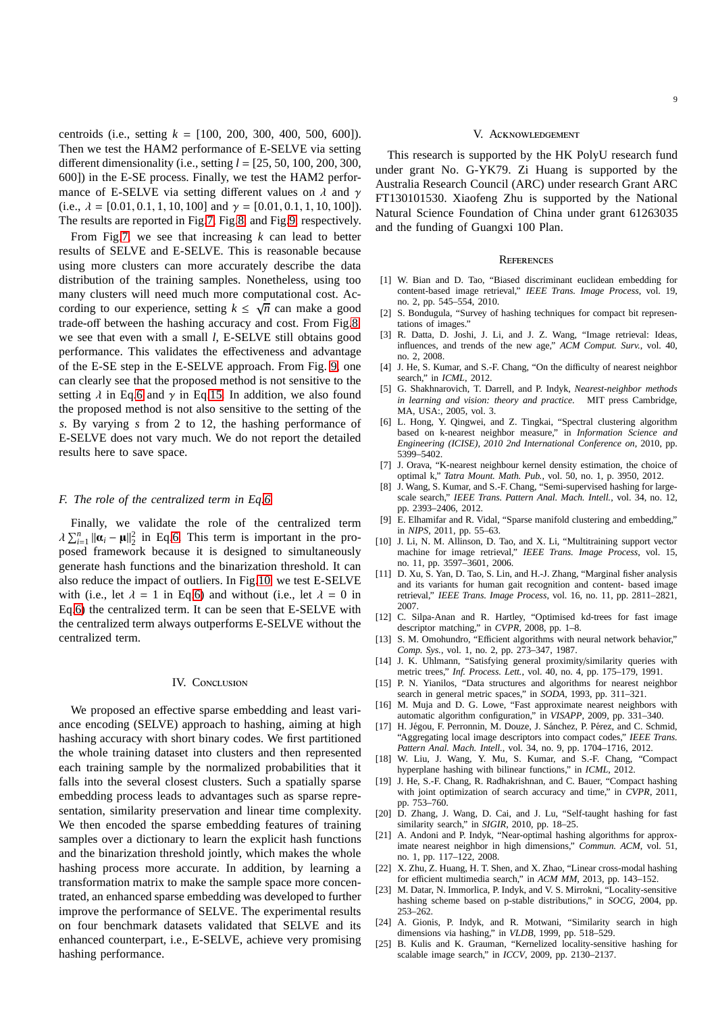centroids (i.e., setting *k* = [100, 200, 300, 400, 500, 600]). Then we test the HAM2 performance of E-SELVE via setting different dimensionality (i.e., setting *l* = [25, 50, 100, 200, 300, 600]) in the E-SE process. Finally, we test the HAM2 performance of E-SELVE via setting different values on  $\lambda$  and  $\gamma$ (i.e.,  $\lambda = [0.01, 0.1, 1, 10, 100]$  and  $\gamma = [0.01, 0.1, 1, 10, 100]$ ). The results are reported in Fig[.7,](#page-10-1) Fig[.8,](#page-11-0) and Fig[.9,](#page-11-1) respectively.

From Fig[.7,](#page-10-1) we see that increasing *k* can lead to better results of SELVE and E-SELVE. This is reasonable because using more clusters can more accurately describe the data distribution of the training samples. Nonetheless, using too many clusters will need much more computational cost. According to our experience, setting  $k \leq \sqrt{n}$  can make a good trade-off between the hashing accuracy and cost. From Fig[.8,](#page-11-0) we see that even with a small *l*, E-SELVE still obtains good performance. This validates the effectiveness and advantage of the E-SE step in the E-SELVE approach. From Fig. [9,](#page-11-1) one can clearly see that the proposed method is not sensitive to the setting  $\lambda$  in Eq[.6](#page-2-3) and  $\gamma$  in Eq[.15.](#page-3-5) In addition, we also found the proposed method is not also sensitive to the setting of the *s*. By varying *s* from 2 to 12, the hashing performance of E-SELVE does not vary much. We do not report the detailed results here to save space.

#### *F. The role of the centralized term in Eq[.6](#page-2-3)*

Finally, we validate the role of the centralized term  $\lambda \sum_{i=1}^{n} ||\mathbf{\alpha}_i - \mathbf{\mu}||_2^2$  in Eq[.6.](#page-2-3) This term is important in the proposed framework because it is designed to simultaneously generate hash functions and the binarization threshold. It can also reduce the impact of outliers. In Fig[.10,](#page-12-31) we test E-SELVE with (i.e., let  $\lambda = 1$  in Eq[.6\)](#page-2-3) and without (i.e., let  $\lambda = 0$  in Eq[.6\)](#page-2-3) the centralized term. It can be seen that E-SELVE with the centralized term always outperforms E-SELVE without the centralized term.

#### IV. CONCLUSION

<span id="page-8-25"></span>We proposed an effective sparse embedding and least variance encoding (SELVE) approach to hashing, aiming at high hashing accuracy with short binary codes. We first partitioned the whole training dataset into clusters and then represented each training sample by the normalized probabilities that it falls into the several closest clusters. Such a spatially sparse embedding process leads to advantages such as sparse representation, similarity preservation and linear time complexity. We then encoded the sparse embedding features of training samples over a dictionary to learn the explicit hash functions and the binarization threshold jointly, which makes the whole hashing process more accurate. In addition, by learning a transformation matrix to make the sample space more concentrated, an enhanced sparse embedding was developed to further improve the performance of SELVE. The experimental results on four benchmark datasets validated that SELVE and its enhanced counterpart, i.e., E-SELVE, achieve very promising hashing performance.

#### V. Acknowledgement

This research is supported by the HK PolyU research fund under grant No. G-YK79. Zi Huang is supported by the Australia Research Council (ARC) under research Grant ARC FT130101530. Xiaofeng Zhu is supported by the National Natural Science Foundation of China under grant 61263035 and the funding of Guangxi 100 Plan.

#### **REFERENCES**

- <span id="page-8-0"></span>[1] W. Bian and D. Tao, "Biased discriminant euclidean embedding for content-based image retrieval," *IEEE Trans. Image Process*, vol. 19, no. 2, pp. 545–554, 2010.
- <span id="page-8-1"></span>[2] S. Bondugula, "Survey of hashing techniques for compact bit representations of images."
- <span id="page-8-2"></span>[3] R. Datta, D. Joshi, J. Li, and J. Z. Wang, "Image retrieval: Ideas, influences, and trends of the new age," *ACM Comput. Surv.*, vol. 40, no. 2, 2008.
- <span id="page-8-3"></span>[4] J. He, S. Kumar, and S.-F. Chang, "On the difficulty of nearest neighbor search," in *ICML*, 2012.
- <span id="page-8-4"></span>[5] G. Shakhnarovich, T. Darrell, and P. Indyk, *Nearest-neighbor methods in learning and vision: theory and practice*. MIT press Cambridge, MA, USA:, 2005, vol. 3.
- <span id="page-8-5"></span>[6] L. Hong, Y. Qingwei, and Z. Tingkai, "Spectral clustering algorithm based on k-nearest neighbor measure," in *Information Science and Engineering (ICISE), 2010 2nd International Conference on*, 2010, pp. 5399–5402.
- <span id="page-8-6"></span>[7] J. Orava, "K-nearest neighbour kernel density estimation, the choice of optimal k," *Tatra Mount. Math. Pub.*, vol. 50, no. 1, p. 3950, 2012.
- <span id="page-8-7"></span>[8] J. Wang, S. Kumar, and S.-F. Chang, "Semi-supervised hashing for largescale search," *IEEE Trans. Pattern Anal. Mach. Intell.*, vol. 34, no. 12, pp. 2393–2406, 2012.
- <span id="page-8-8"></span>[9] E. Elhamifar and R. Vidal, "Sparse manifold clustering and embedding," in *NIPS*, 2011, pp. 55–63.
- <span id="page-8-9"></span>[10] J. Li, N. M. Allinson, D. Tao, and X. Li, "Multitraining support vector machine for image retrieval," *IEEE Trans. Image Process*, vol. 15, no. 11, pp. 3597–3601, 2006.
- <span id="page-8-10"></span>[11] D. Xu, S. Yan, D. Tao, S. Lin, and H.-J. Zhang, "Marginal fisher analysis and its variants for human gait recognition and content- based image retrieval," *IEEE Trans. Image Process*, vol. 16, no. 11, pp. 2811–2821, 2007.
- <span id="page-8-11"></span>[12] C. Silpa-Anan and R. Hartley, "Optimised kd-trees for fast image descriptor matching," in *CVPR*, 2008, pp. 1–8.
- <span id="page-8-12"></span>[13] S. M. Omohundro, "Efficient algorithms with neural network behavior," *Comp. Sys.*, vol. 1, no. 2, pp. 273–347, 1987.
- <span id="page-8-13"></span>[14] J. K. Uhlmann, "Satisfying general proximity/similarity queries with metric trees," *Inf. Process. Lett.*, vol. 40, no. 4, pp. 175–179, 1991.
- <span id="page-8-14"></span>[15] P. N. Yianilos, "Data structures and algorithms for nearest neighbor search in general metric spaces," in *SODA*, 1993, pp. 311–321.
- <span id="page-8-15"></span>[16] M. Muja and D. G. Lowe, "Fast approximate nearest neighbors with automatic algorithm configuration," in *VISAPP*, 2009, pp. 331–340.
- <span id="page-8-16"></span>[17] H. Jégou, F. Perronnin, M. Douze, J. Sánchez, P. Pérez, and C. Schmid, "Aggregating local image descriptors into compact codes," *IEEE Trans. Pattern Anal. Mach. Intell.*, vol. 34, no. 9, pp. 1704–1716, 2012.
- <span id="page-8-17"></span>[18] W. Liu, J. Wang, Y. Mu, S. Kumar, and S.-F. Chang, "Compact hyperplane hashing with bilinear functions," in *ICML*, 2012.
- <span id="page-8-18"></span>[19] J. He, S.-F. Chang, R. Radhakrishnan, and C. Bauer, "Compact hashing with joint optimization of search accuracy and time," in *CVPR*, 2011, pp. 753–760.
- <span id="page-8-19"></span>[20] D. Zhang, J. Wang, D. Cai, and J. Lu, "Self-taught hashing for fast similarity search," in *SIGIR*, 2010, pp. 18–25.
- <span id="page-8-20"></span>[21] A. Andoni and P. Indyk, "Near-optimal hashing algorithms for approximate nearest neighbor in high dimensions," *Commun. ACM*, vol. 51, no. 1, pp. 117–122, 2008.
- <span id="page-8-21"></span>[22] X. Zhu, Z. Huang, H. T. Shen, and X. Zhao, "Linear cross-modal hashing for efficient multimedia search," in *ACM MM*, 2013, pp. 143–152.
- <span id="page-8-22"></span>[23] M. Datar, N. Immorlica, P. Indyk, and V. S. Mirrokni, "Locality-sensitive hashing scheme based on p-stable distributions," in *SOCG*, 2004, pp. 253–262.
- <span id="page-8-23"></span>[24] A. Gionis, P. Indyk, and R. Motwani, "Similarity search in high dimensions via hashing," in *VLDB*, 1999, pp. 518–529.
- <span id="page-8-24"></span>[25] B. Kulis and K. Grauman, "Kernelized locality-sensitive hashing for scalable image search," in *ICCV*, 2009, pp. 2130–2137.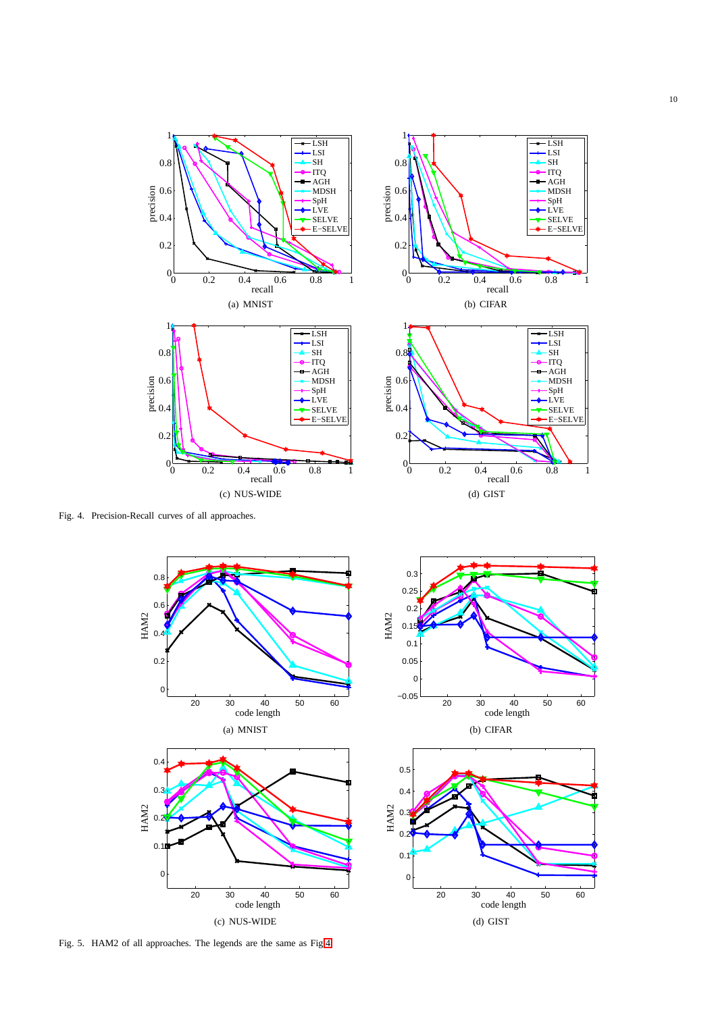

<span id="page-9-0"></span>Fig. 4. Precision-Recall curves of all approaches.





(b) CIFAR



<span id="page-9-1"></span>Fig. 5. HAM2 of all approaches. The legends are the same as Fig[.4.](#page-9-0)

LSH LSI SH ITQ AGH MDSH SpH LVE **SELVE** E−SELVE

LSH LSI SH ITQ AGH MDSH SpH LVE SELVE E−SELVE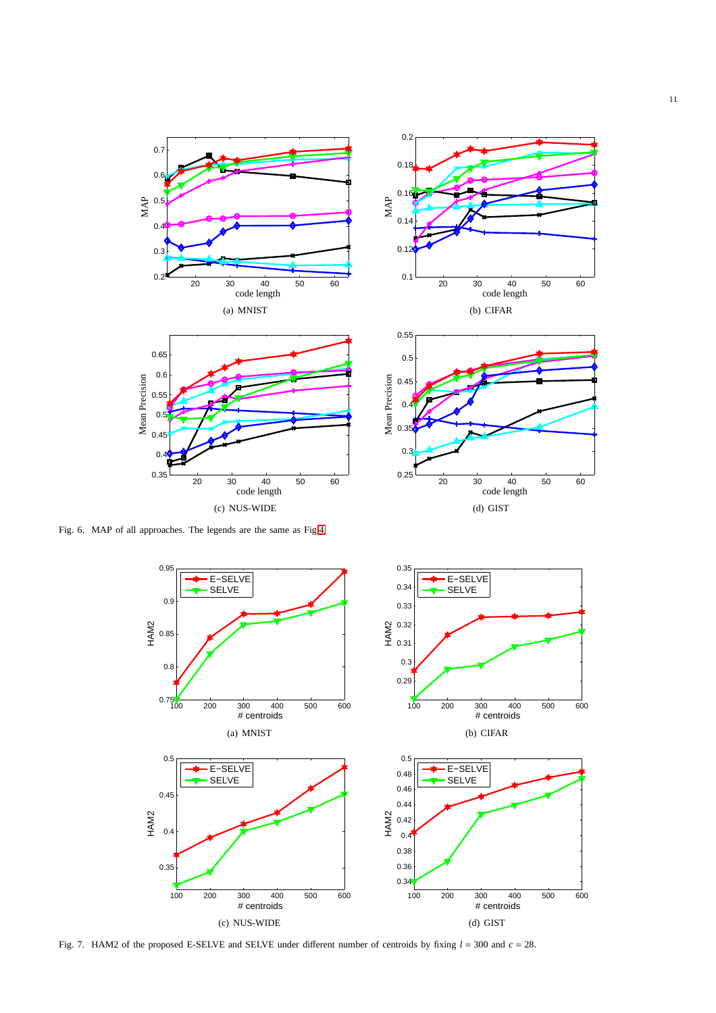

20 30 40 50 60

code length

(c) NUS-WIDE





<span id="page-10-0"></span>Fig. 6. MAP of all approaches. The legends are the same as Fig[.4.](#page-9-0)

0.35  $\overline{0}$ .  $0.45$  $\mathbf{0}$ 



<span id="page-10-1"></span>Fig. 7. HAM2 of the proposed E-SELVE and SELVE under different number of centroids by fixing *l* = 300 and *c* = 28.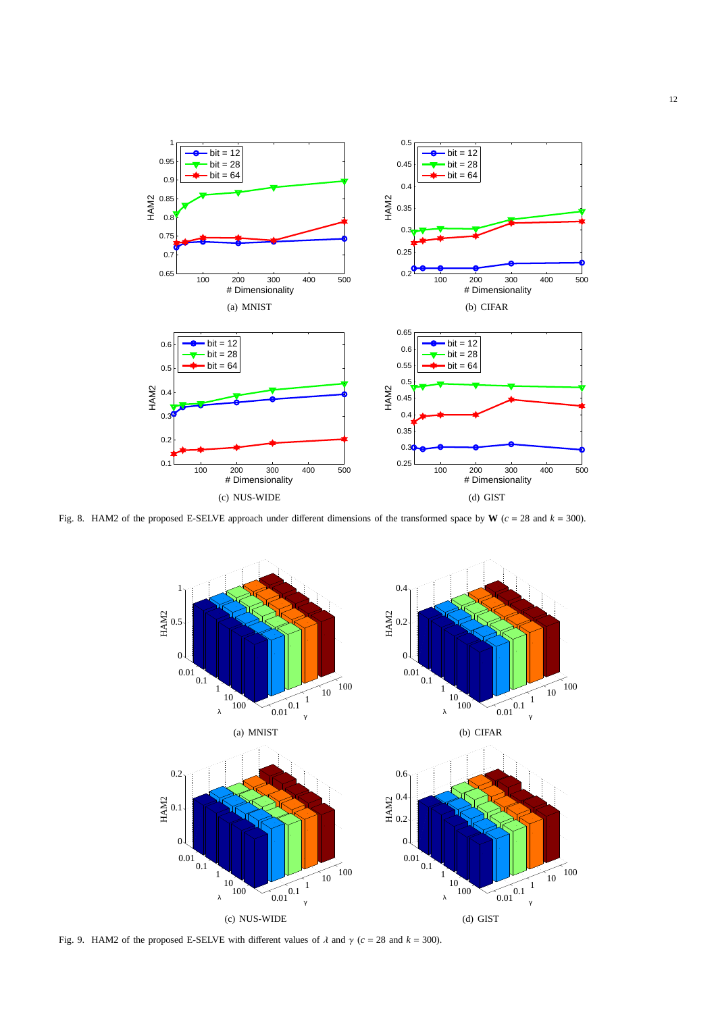

<span id="page-11-0"></span>Fig. 8. HAM2 of the proposed E-SELVE approach under different dimensions of the transformed space by **W** (*c* = 28 and *k* = 300).



<span id="page-11-1"></span>Fig. 9. HAM2 of the proposed E-SELVE with different values of  $\lambda$  and  $\gamma$  ( $c = 28$  and  $k = 300$ ).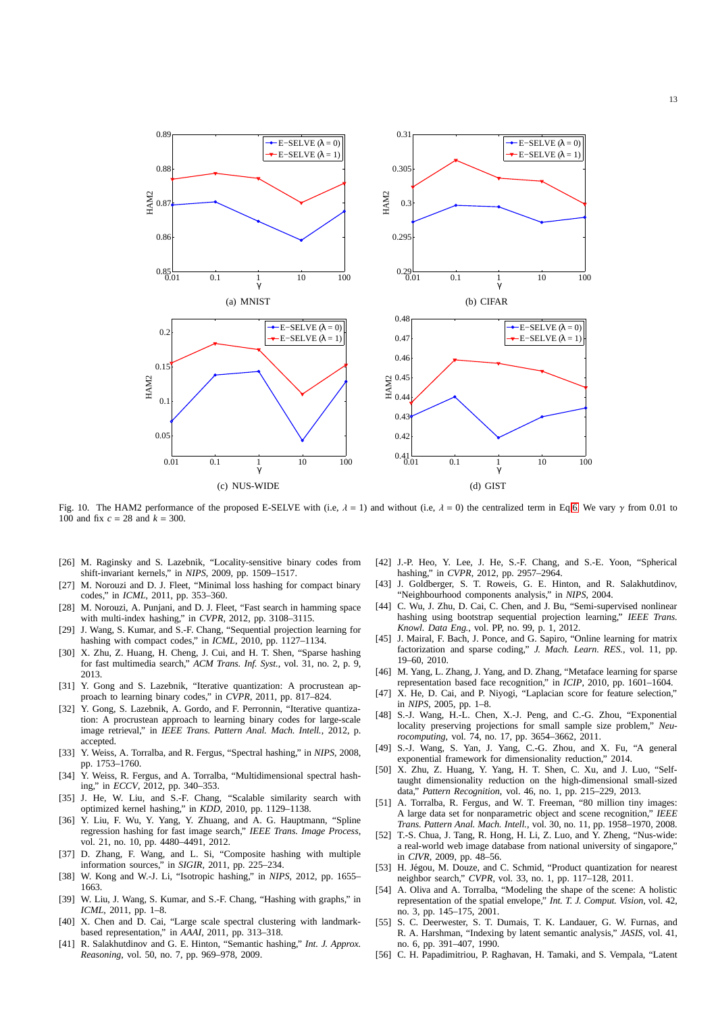

<span id="page-12-31"></span>Fig. 10. The HAM2 performance of the proposed E-SELVE with (i.e,  $\lambda = 1$ ) and without (i.e,  $\lambda = 0$ ) the centralized term in Eq[.6.](#page-2-3) We vary  $\gamma$  from 0.01 to 100 and fix *c* = 28 and *k* = 300.

- <span id="page-12-0"></span>[26] M. Raginsky and S. Lazebnik, "Locality-sensitive binary codes from shift-invariant kernels," in *NIPS*, 2009, pp. 1509–1517.
- <span id="page-12-1"></span>[27] M. Norouzi and D. J. Fleet, "Minimal loss hashing for compact binary codes," in *ICML*, 2011, pp. 353–360.
- <span id="page-12-2"></span>[28] M. Norouzi, A. Punjani, and D. J. Fleet, "Fast search in hamming space with multi-index hashing," in *CVPR*, 2012, pp. 3108–3115.
- <span id="page-12-3"></span>[29] J. Wang, S. Kumar, and S.-F. Chang, "Sequential projection learning for hashing with compact codes," in *ICML*, 2010, pp. 1127-1134.
- <span id="page-12-4"></span>[30] X. Zhu, Z. Huang, H. Cheng, J. Cui, and H. T. Shen, "Sparse hashing for fast multimedia search," *ACM Trans. Inf. Syst.*, vol. 31, no. 2, p. 9, 2013.
- <span id="page-12-5"></span>[31] Y. Gong and S. Lazebnik, "Iterative quantization: A procrustean approach to learning binary codes," in *CVPR*, 2011, pp. 817–824.
- <span id="page-12-6"></span>[32] Y. Gong, S. Lazebnik, A. Gordo, and F. Perronnin, "Iterative quantization: A procrustean approach to learning binary codes for large-scale image retrieval," in *IEEE Trans. Pattern Anal. Mach. Intell.*, 2012, p. accepted.
- <span id="page-12-7"></span>[33] Y. Weiss, A. Torralba, and R. Fergus, "Spectral hashing," in *NIPS*, 2008, pp. 1753–1760.
- <span id="page-12-8"></span>[34] Y. Weiss, R. Fergus, and A. Torralba, "Multidimensional spectral hashing," in *ECCV*, 2012, pp. 340–353.
- <span id="page-12-9"></span>[35] J. He, W. Liu, and S.-F. Chang, "Scalable similarity search with optimized kernel hashing," in *KDD*, 2010, pp. 1129–1138.
- <span id="page-12-10"></span>[36] Y. Liu, F. Wu, Y. Yang, Y. Zhuang, and A. G. Hauptmann, "Spline regression hashing for fast image search," *IEEE Trans. Image Process*, vol. 21, no. 10, pp. 4480–4491, 2012.
- <span id="page-12-11"></span>[37] D. Zhang, F. Wang, and L. Si, "Composite hashing with multiple information sources," in *SIGIR*, 2011, pp. 225–234.
- <span id="page-12-12"></span>[38] W. Kong and W.-J. Li, "Isotropic hashing," in *NIPS*, 2012, pp. 1655– 1663.
- <span id="page-12-13"></span>[39] W. Liu, J. Wang, S. Kumar, and S.-F. Chang, "Hashing with graphs," in *ICML*, 2011, pp. 1–8.
- <span id="page-12-14"></span>[40] X. Chen and D. Cai, "Large scale spectral clustering with landmarkbased representation," in *AAAI*, 2011, pp. 313–318.
- <span id="page-12-15"></span>[41] R. Salakhutdinov and G. E. Hinton, "Semantic hashing," *Int. J. Approx. Reasoning*, vol. 50, no. 7, pp. 969–978, 2009.
- <span id="page-12-16"></span>[42] J.-P. Heo, Y. Lee, J. He, S.-F. Chang, and S.-E. Yoon, "Spherical hashing," in *CVPR*, 2012, pp. 2957–2964.
- <span id="page-12-17"></span>[43] J. Goldberger, S. T. Roweis, G. E. Hinton, and R. Salakhutdinov, "Neighbourhood components analysis," in *NIPS*, 2004.
- <span id="page-12-18"></span>[44] C. Wu, J. Zhu, D. Cai, C. Chen, and J. Bu, "Semi-supervised nonlinear hashing using bootstrap sequential projection learning," *IEEE Trans. Knowl. Data Eng.*, vol. PP, no. 99, p. 1, 2012.
- <span id="page-12-19"></span>[45] J. Mairal, F. Bach, J. Ponce, and G. Sapiro, "Online learning for matrix factorization and sparse coding," *J. Mach. Learn. RES.*, vol. 11, pp. 19–60, 2010.
- <span id="page-12-20"></span>[46] M. Yang, L. Zhang, J. Yang, and D. Zhang, "Metaface learning for sparse representation based face recognition," in *ICIP*, 2010, pp. 1601–1604.
- <span id="page-12-21"></span>[47] X. He, D. Cai, and P. Nivogi, "Laplacian score for feature selection," in *NIPS*, 2005, pp. 1–8.
- <span id="page-12-22"></span>[48] S.-J. Wang, H.-L. Chen, X.-J. Peng, and C.-G. Zhou, "Exponential locality preserving projections for small sample size problem," *Neurocomputing*, vol. 74, no. 17, pp. 3654–3662, 2011.
- <span id="page-12-23"></span>[49] S.-J. Wang, S. Yan, J. Yang, C.-G. Zhou, and X. Fu, "A general exponential framework for dimensionality reduction," 2014.
- <span id="page-12-24"></span>[50] X. Zhu, Z. Huang, Y. Yang, H. T. Shen, C. Xu, and J. Luo, "Selftaught dimensionality reduction on the high-dimensional small-sized data," *Pattern Recognition*, vol. 46, no. 1, pp. 215–229, 2013.
- <span id="page-12-25"></span>[51] A. Torralba, R. Fergus, and W. T. Freeman, "80 million tiny images: A large data set for nonparametric object and scene recognition," *IEEE Trans. Pattern Anal. Mach. Intell.*, vol. 30, no. 11, pp. 1958–1970, 2008.
- <span id="page-12-26"></span>[52] T.-S. Chua, J. Tang, R. Hong, H. Li, Z. Luo, and Y. Zheng, "Nus-wide: a real-world web image database from national university of singapore,' in *CIVR*, 2009, pp. 48–56.
- <span id="page-12-27"></span>[53] H. Jégou, M. Douze, and C. Schmid, "Product quantization for nearest neighbor search," *CVPR*, vol. 33, no. 1, pp. 117–128, 2011.
- <span id="page-12-28"></span>[54] A. Oliva and A. Torralba, "Modeling the shape of the scene: A holistic representation of the spatial envelope," *Int. T. J. Comput. Vision*, vol. 42, no. 3, pp. 145–175, 2001.
- <span id="page-12-29"></span>[55] S. C. Deerwester, S. T. Dumais, T. K. Landauer, G. W. Furnas, and R. A. Harshman, "Indexing by latent semantic analysis," *JASIS*, vol. 41, no. 6, pp. 391–407, 1990.
- <span id="page-12-30"></span>[56] C. H. Papadimitriou, P. Raghavan, H. Tamaki, and S. Vempala, "Latent